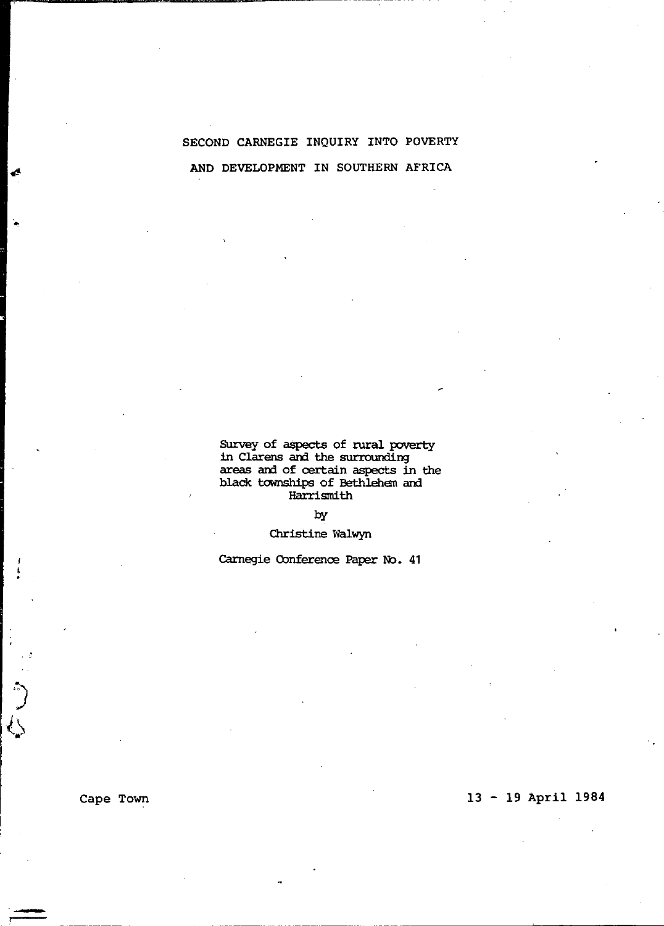# SECOND CARNEGIE INQUIRY INTO POVERTY AND DEVELOPMENT IN SOUTHERN AFRICA

Survey of aspects of rural poverty<br>in Clarens and the surrounding areas and of certain aspects in the black townships of Bethlehen am Harrismith

## by

## Christine Walwyn

Carnegie Conference Paper No. 41

# 13 - 19 April 1984

Cape Town

 $\frac{1}{2}$ Q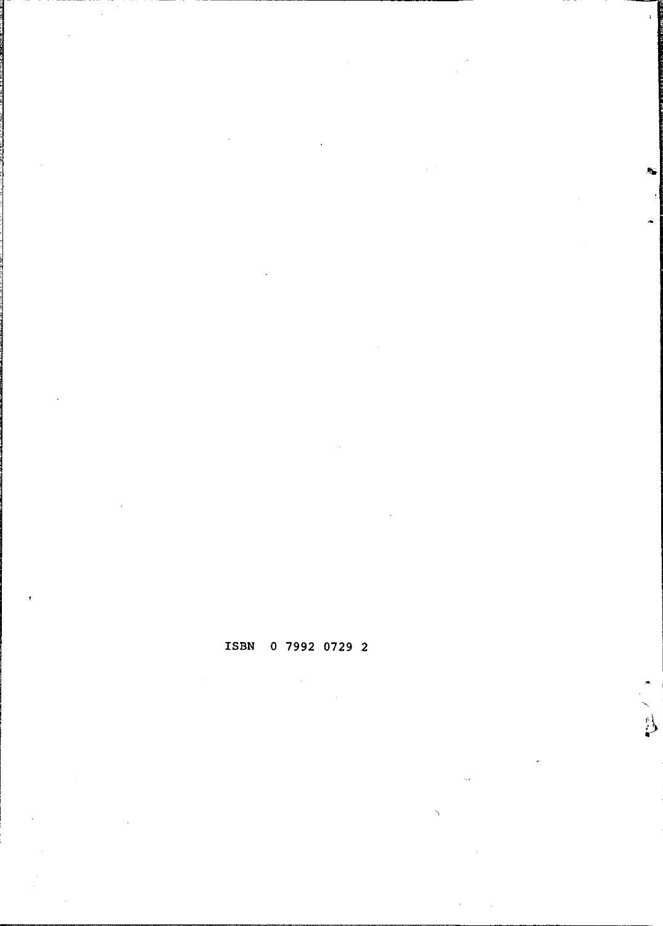# ISBN 0 7992 0729 2

 $\sum_{i=1}^{N}$ 

l.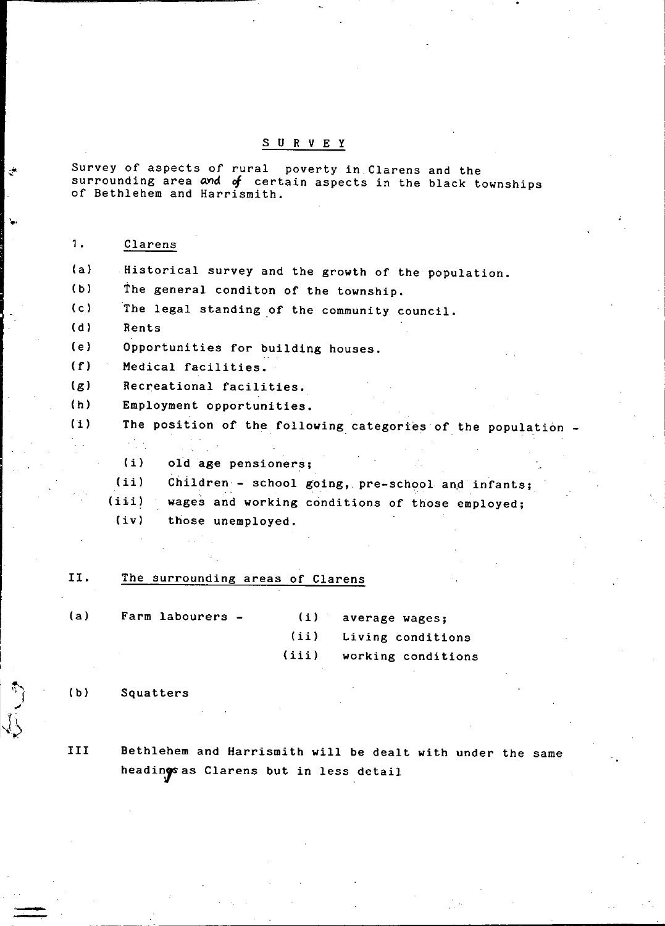#### SUR V E Y

Survey of aspects of rural poverty in Clarens and the surrounding area and  $f$  certain aspects in the black townships of Bethlehem and Harrismith.

1. Clarens

**'.,** 

уŘ

(a) Historical survey and the growth of the population.

(b) The general conditon of the township.

(c) The legal standing of the community council.

(d) Rents

(e) Opportunities for building houses.

- (f) Medical facilities.
- (g) Recreational facilities.
- (h) Employment opportunities.

(i) The position of the following categories of the population -

- (i) old age pensioners;
- (ii) Children - school going, pre-school and infants;
- (iii) wages and working conditions of those employed;

(iv) those unemployed.

#### II. The surrounding areas of Clarens

| (a) | Farm labourers - | (i) average wages:       |
|-----|------------------|--------------------------|
|     |                  | (ii) Living conditions   |
|     |                  | (iii) working conditions |

#### (b) Squatters

III Bethlehem and Harrismith will be dealt with under the same headings as Clarens but in less detail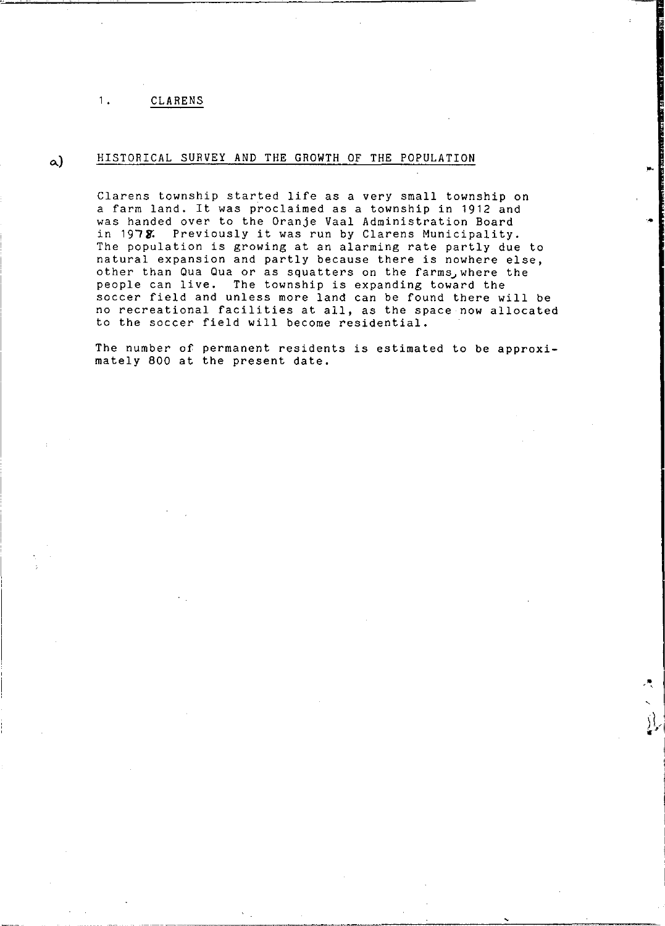# a) HISTORICAL SURVEY AND THE GROWTH OF THE POPULATION

Clarens township started life as a very small township on a farm land. It was proclaimed as a township in 1912 and was handed over to the Oranje Vaal Administration Board in 1978. Previously it was run by Clarens Municipality. The population is growing at an alarming rate partly due to natural expansion and partly because there is nowhere else, other than Qua Qua or as squatters on the farms, where the people can live. The township is expanding toward the soccer field and unless more land can be found there will be no recreational facilities at all, as the space now allocated to the soccer field will become residential.

The number of permanent residents is estimated to be approximately 800 at the present date.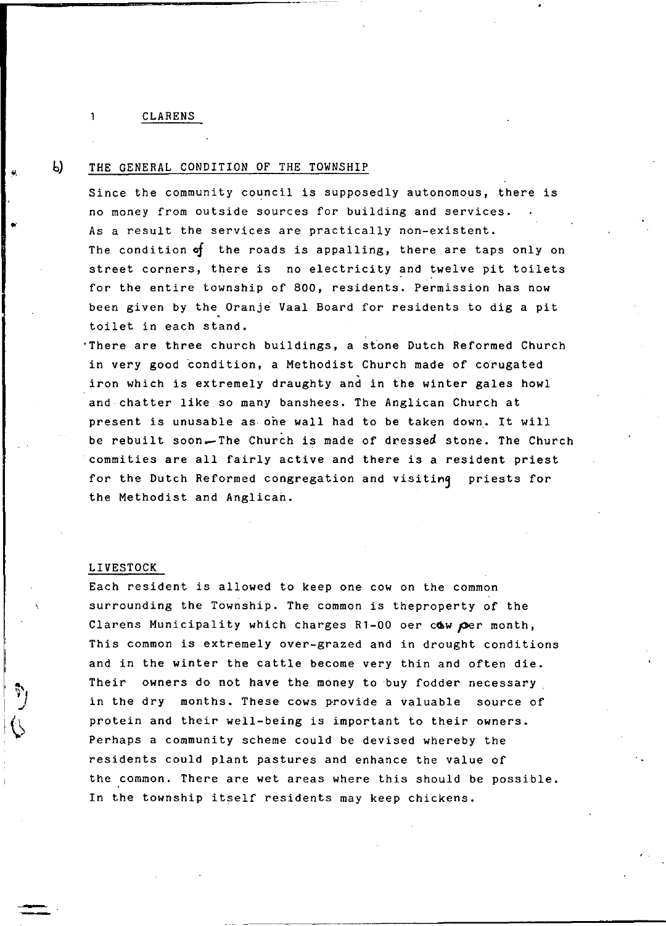#### 1 CLARENS

 $b$ 

## THE GENERAL CONDITION OF THE TOWNSHIP

Since the community council is supposedly autonomous, there is no money from outside sources for building and services. As a result the services are practically non-existent. The condition *of* the roads is appalling, there are taps only on street corners, there is no electricity and twelve pit toilets for the entire township of 800, residents. Permission has now been given by the Oranje Vaal Board for residents to dig a pit toilet in each stand.

'There are three church buildings, a slone Dutch Reformed Church in very good condition, a Methodist Church made of corugated iron which is extremely draughty and in the winter gales howl and chatter like so many banshees. The Anglican Church at present is unusable as ohe wall had to be taken down. It will be rebuilt soon-The Church is made of dressed stone. The Church commities are all fairly active and there is a resident priest for the Dutch Reformed congregation and visitinq priests for the Methodist and Anglican.

#### LIVESTOCK

Each resident is allowed to keep one cow on the common surrounding the Township. The common is theproperty of the Clarens Municipality which charges R1-00 oer cow per month, This common is extremely over-grazed and in drought conditions and in the winter the cattle become very thin and often die. Their owners do not have the money to buy fodder necessary in the dry months. These cows provide a valuable source of protein and their well-being is important to their owners. Perhaps a community scheme could be devised whereby the residents could plant pastures and enhance the value of the common. There are wet areas where this should be possible. In the township itself residents may keep chickens.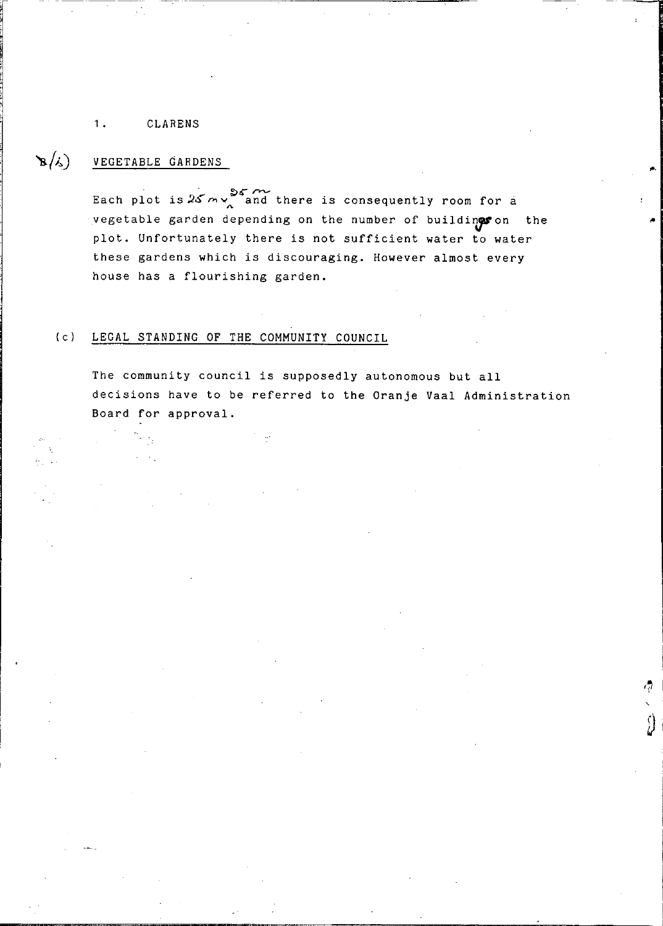#### $B(s)$ VEGETABLE GARDENS

Each plot is  $25 \, \text{m}$  and there is consequently room for a vegetable garden depending on the number of buildings on the plot. Unfortunately there is not sufficient water to water these gardens which is discouraging. However almost every house has a flourishing garden.

## (c) LEGAL STANDING OF THE COMMUNITY COUNCIL

The community council is supposedly autonomous but all decisions have to be referred to the Oranje Vaal Administration Board for approval.

 $\mathcal{L}$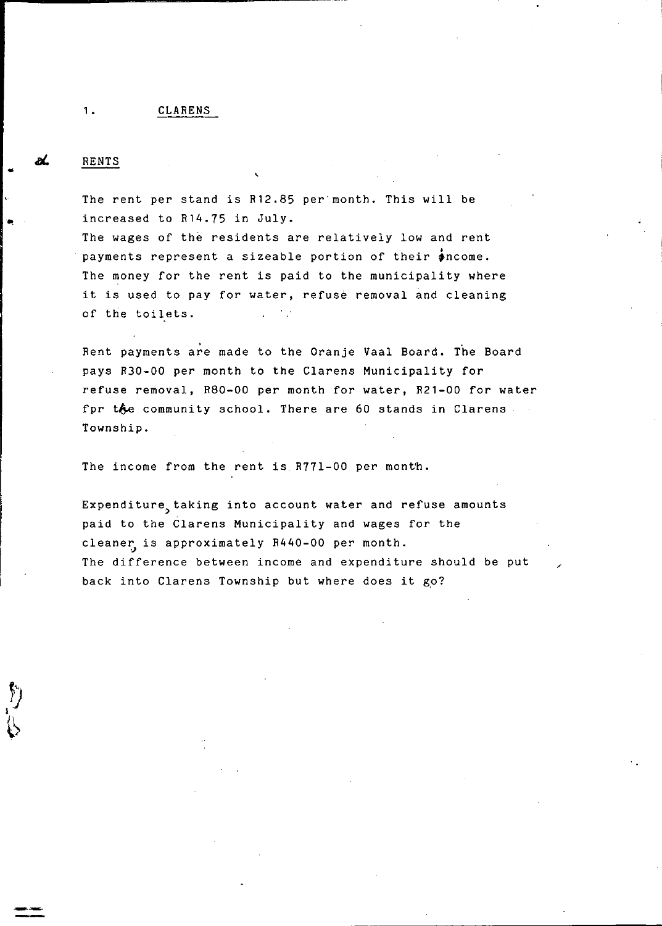. The contract of the contract of the contract of the contract of the contract of  $\mathcal{L}_\text{c}$ 

#### RENTS

The rent per stand is R12.85 per-month. This will be increased to R14.75 in July.

The wages of the residents are relatively low and rent payments represent a sizeable portion of their  $\phi$ ncome. The money for the rent is paid to the municipality where it is used to pay for water, refuse removal and cleaning of the toilets.

Rent payments are made to the Oranje Vaal Board. The Board pays R30-00 per month to the Clarens Municipality for refuse removal, R80-00 per month for water, R21-00 for water fpr the community school. There are 60 stands in Clarens Township.

The income from the rent is R77l-00 per month.

Expenditure taking into account water and refuse amounts paid to the Clarens Municipality and wages for the cleaner is approximately R440-00 per month. The difference between income and expenditure should be put back into Clarens Township but where does it go?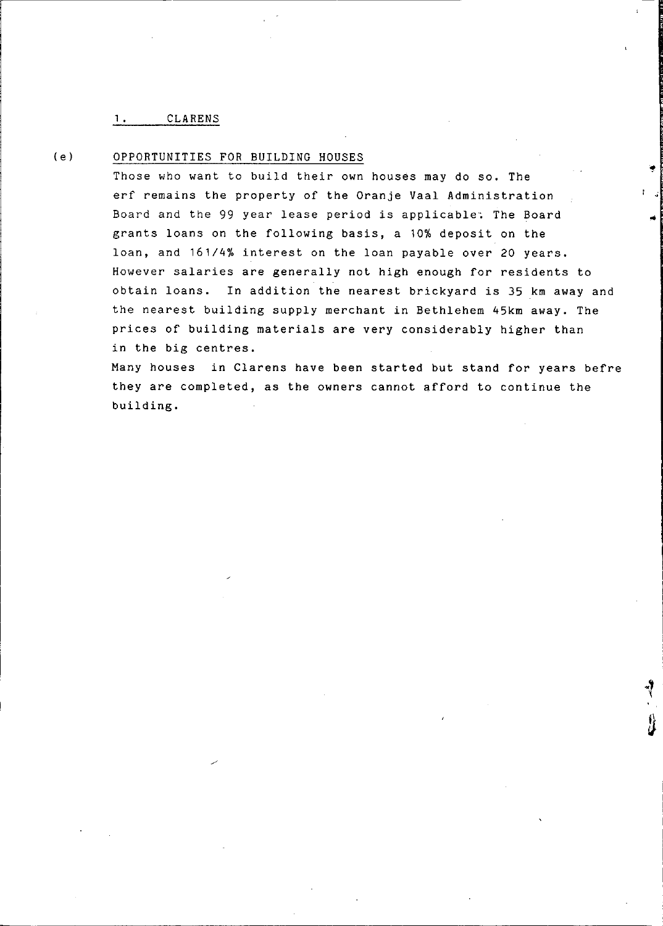#### *(e)* OPPORTUNITIES FOR BUILDING HOUSES

Those who want to build their own houses may do so. The erf remains the property of the Oranje Vaal Administration Board and the 99 year lease period is applicable: The Board grants loans on the following basis, a 10% deposit on the loan, and 161/4% interest on the loan payable over 20 years. However salaries are generally not high enough for residents to obtain loans. In addition the nearest brickyard is 35 km away and the nearest building supply merchant in Bethlehem 45km away. The prices of building materials are very considerably higher than in the big centres.

**: .j** 

Many houses in Clarens have been started but stand for years befre they are completed, as the owners cannot afford to continue the building.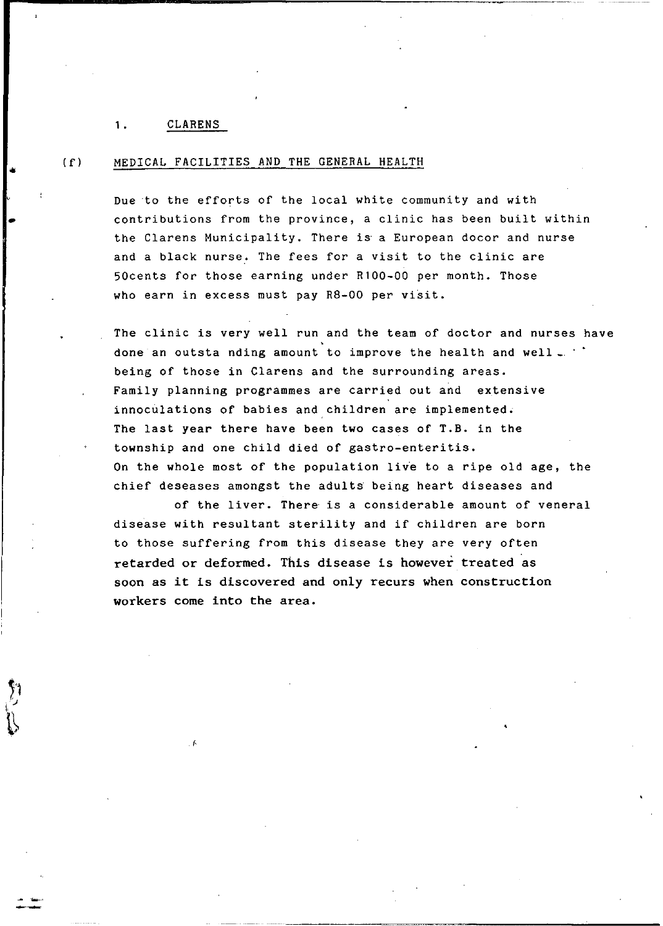•

..

#### (fl MEDICAL FACILITIES AND THE GENERAL HEALTH

Due to the efforts of the local white community and with contributions from the province, a clinic has been built within the Clarens Municipality. There is a European docor and nurse and a black nurse. The fees for a visit to the clinic are 50cents for those earning under Rl00-00 per month. Those who earn in excess must pay  $R8-00$  per visit.

The clinic is very well run and the team of doctor and nurses have done an outsta nding amount to improve the health and well. being of those in Clarens and the surrounding areas. Family planning programmes are carried out and extensive innoculations of babies and children are implemented. The last year there have been two cases of T.B. in the township and one child died of gastro-enteritis. On the whole most of the population live to a ripe old age, the chief deseases amongst the adults being heart diseases and

of the liver. There is a considerable amount of veneral disease with resultant sterility and if children are born to those suffering from this disease they are very often retarded or deformed. This disease is however treated as soon as it is discovered and only recurs when construction workers come into the area.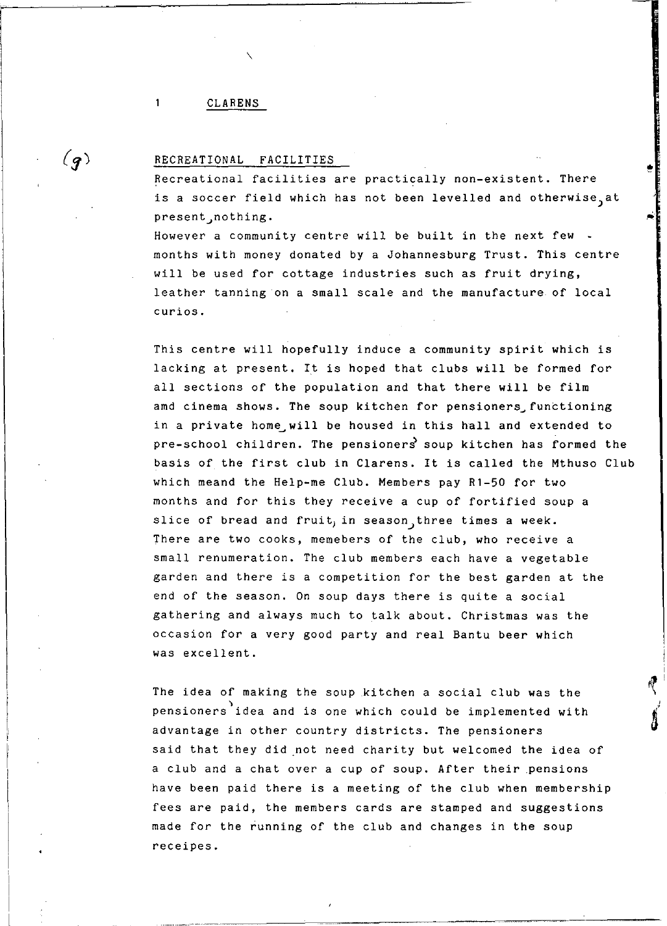#### CLARENS

 $\mathbf{1}$ 

 $(q)$ 

#### RECREATIONAL FACILITIES

Recreational facilities are practically non-existent. There is a soccer field which has not been levelled and otherwise, at present, nothing.

•

However a community centre will be built in the next few months with money donated by a Johannesburg Trust. This centre will be used for cottage industries such as fruit drying, leather tanning on a small scale and the manufacture of local curios.

This centre will hopefully induce a community spirit which is lacking at present. It is hoped that clubs will be formed for all sections of the population and that there will be film amd cinema shows. The soup kitchen for pensioners functioning in a private home will be housed in this hall and extended to  $pre-school$  children. The pensioners soup kitchen has formed the basis of the first club in Clarens. It is called the Mthuso Club which meand the Help-me Club. Members pay Rl-50 for two months and for this they receive a cup of fortified soup a slice of bread and fruit, in season, three times a week. There are two cooks, memebers of the club, who receive a small renumeration. The club members each have a vegetable garden and there is a competition for the best garden at the end of the season. On soup days there is quite a social gathering and always much to talk about. Christmas was the occasion for a very good party and real Bantu beer which was excellent.

The idea of making the soup kitchen a social club was the pensioners idea and is one which could be implemented with advantage in other country districts. The pensioners said that they did not need charity but welcomed the idea of a club and a chat over a cup of soup. After their .pensions have been paid there is a meeting of the club when membership fees are paid, the members cards are stamped and suggestions made for the running of the club and changes in the soup receipes.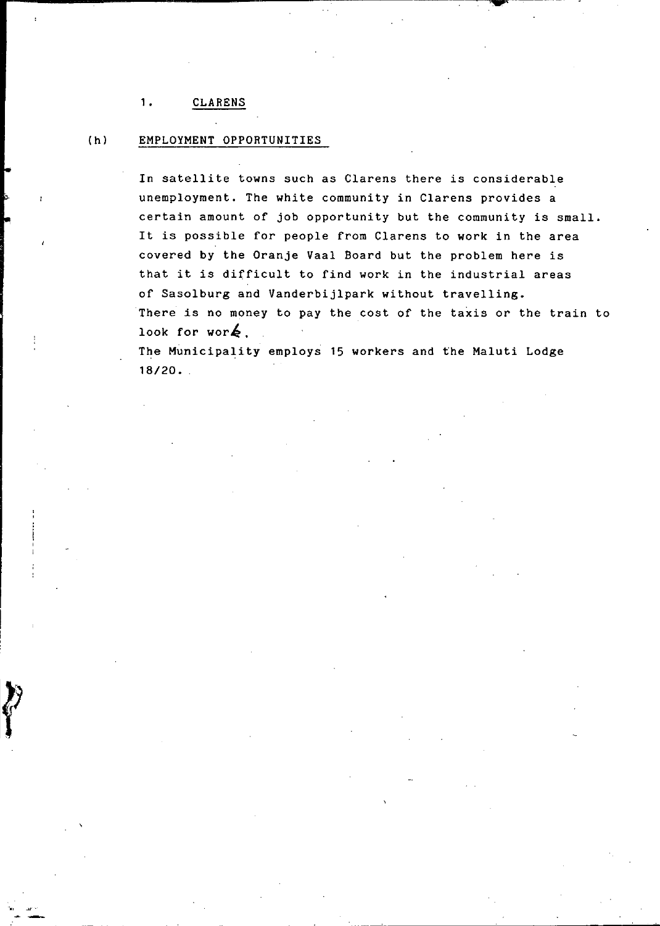## (h) EMPLOYMENT OPPORTUNITIES

In satellite towns such as Clarens there is considerable unemployment. The white community in Clarens provides a certain amount of job opportunity but the community is small. It is possible for people from Clarens to work in the area covered by the Oranje Vaal Board but the problem here is that it is difficult to find work in the industrial areas of Sasolburg and Vanderbijlpark without travelling. There is no money to pay the cost of the taxis or the train to look for wor $\blacktriangle$ .

The Municipality employs 15 workers and the Maluti Lodge 18/20.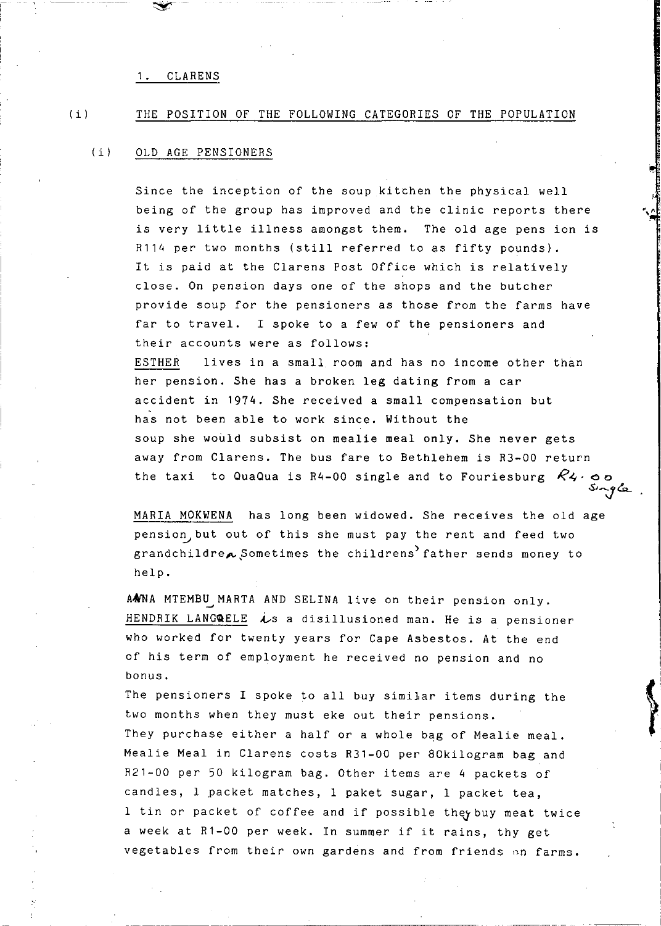$\sim$   $-$ 

#### $(i)$ THE POSITION OF THE FOLLOWING CATEGORIES OF THE POPULATION

#### $(i)$ OLD AGE PENSIONERS

Since the inception of the soup kitchen the physical well being of the group has improved and the clinic reports there is very little illness amongst them. The old age pens ion is R114 per two months (still referred to as fifty pounds). It is paid at the Clarens Post Office which is relatively close. On pension days one of the shops and the butcher provide soup for the pensioners as those from the farms have far to travel. I spoke to a few of the pensioners and their accounts were as follows: ESTHER lives in a small room and has no income other than her pension. She has a broken leg dating from a car accident in 1974. She received a small compensation but has not been able to work since. Without the soup she would subsist on mealie meal only. She never gets away from Clarens. The bus fare to Bethlehem is R3-00 return the taxi to QuaQua is R4-00 single and to Fouriesburg  $R_4$  oo *oS,";}&..* 

MARIA MOKWENA has long been widowed. She receives the old age pension but out of this she must pay the rent and feed two grandchildre $\sim$  Sometimes the childrens<sup>)</sup> father sends money to help.

AANA MTEMBU MARTA AND SELINA live on their pension only. HENDRIK LANGQELE  $\dot{\ell}$ s a disillusioned man. He is a pensioner who worked for twenty years for Cape Asbestos. At the end of his term of employment he received no pension and no bonus.

I is a contract of the contract of the contract of the contract of the contract of the contract of the contract of the contract of the contract of the contract of the contract of the contract of the contract of the contrac

 $^{\bullet}$ 

The pensioners I spoke to all buy similar items during the two months when they must eke out their pensions. They purchase either a half or a whole bag of Mealie meal. Mealie Meal in Clarens costs R31-00 per 80kilogram bag and R21-00 per 50 kilogram bag. Other items are 4 packets of candles, I packet matches, I paket sugar, I packet tea, 1 tin or packet of coffee and if possible they buy meat twice a week at R1-00 per week. In summer if it rains, thy get vegetables from their own gardens and from friends on farms.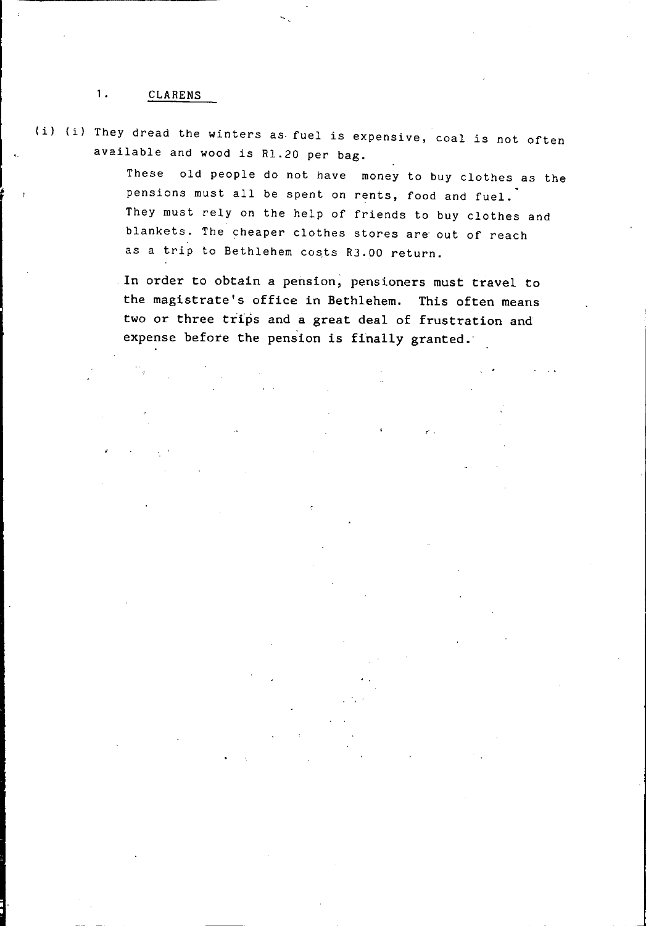(i) (i) They dread the winters as- fuel is expensive, coal is not often available and wood is RI.20 per bag.

> These old people do not have money to buy clothes as the pensions must all be spent on rents, food and fuel. They must rely on the help of friends to buy clothes and blankets. The cheaper clothes stores are out of reach as a trip to Bethlehem costs R3.00 return.

In order to obtain a pension; pensioners must travel to the magistrate's office in Bethlehem. This often means two or three trips and a great deal of frustration and expense before the pension is finally granted.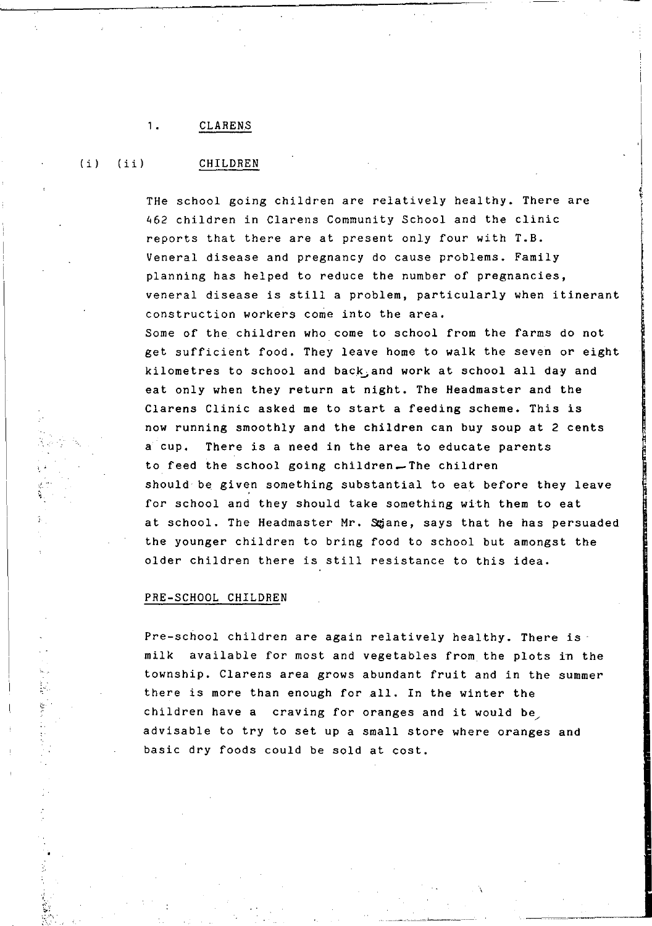#### ,. CLAREN.S

 $(i)$   $(i)$ 

#### CHILDREN

THe school going children are relatively healthy. There are 462 children in Clarens Community School and the clinic reports that there are at present only four with **T.B.**  Veneral disease and pregnancy do cause problems. Family planning has helped to reduce the number of pregnancies, veneral disease is still a problem, particularly when itinerant construction workers come into the area. Some of the children who come to school from the farms do not get sufficient food. They leave home to walk the seven or eight kilometres to school and back and work at school all day and eat only when they return at night. The Headmaster and the Clarens Clinic asked me to start a feeding scheme. This is now running smoothly and the children can buy soup at 2 cents a cup. There is a need in the area to educate parents to feed the school going children\_The children should be given something substantial to eat before they leave for school and they should take something with them to eat

at school. The Headmaster Mr. Sgane, says that he has persuaded the younger children to bring food to school but amongst the older children there is still resistance to this idea.

#### PRE-SCHOOL CHILDREN

Pre-school children are again relatively healthy. There is milk available for most and vegetables from the plots in the township. Clarens area grows abundant fruit and in the summer there is more than enough for all. In the winter the children have a craving for oranges and it would be advisable to try to set up a small store where oranges and basic dry foods could be sold at cost.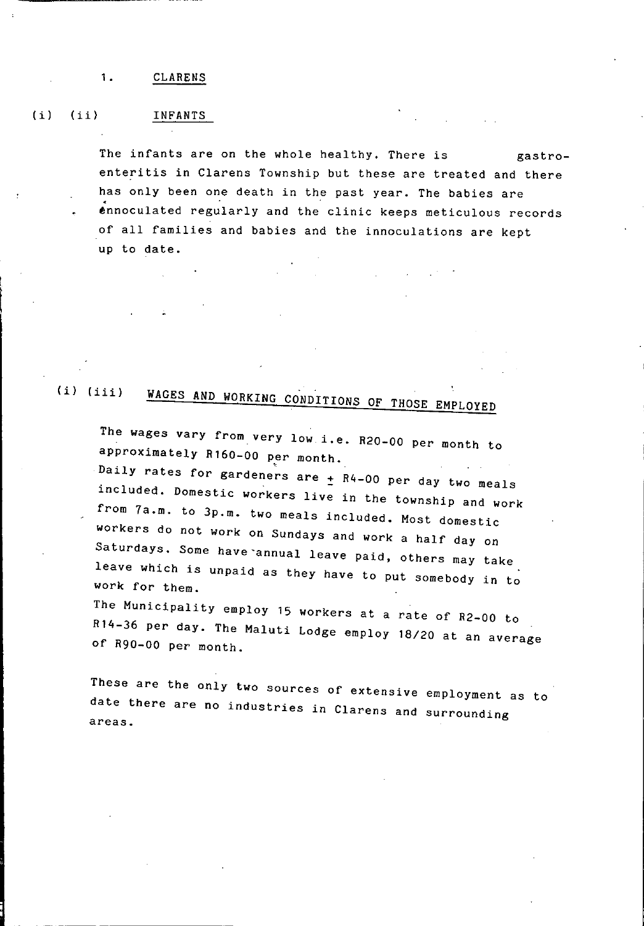#### (i) (ii) INFANTS

The infants are on the whole healthy. There is gastroenteritis in Clarens Township but these are treated and there has only been one death in the past year. The babies are ennoculated regularly and the clinic keeps meticulous records of all families and babies and the innoculations are kept up to date.

# *(i) (iii)* WAGES AND WORKING CONDITIONS OF THOSE EMPLOYED

The wages vary from very low *i.e.* R20-00 per month to approximately **R160-00** per month.

Daily rates for gardeners are  $\pm$  R4-00 per day two meals included. Domestic workers live in the township and work from 7a.m. to 3p.m. two meals included. Most domestic workers do not work on Sundays and work a half day on Saturdays. Some have annual leave paid, others may take leave which is unpaid as they have to put somebody in to work for them.

The Municipality employ 15 workers at a rate of R2-00 to R14-36 per day. The Maluti Lodge employ *18/20* at an average of R90-00 per month.

These are the only two sources of extensive employment as to date there are no industries in Clarens and surrounding areas.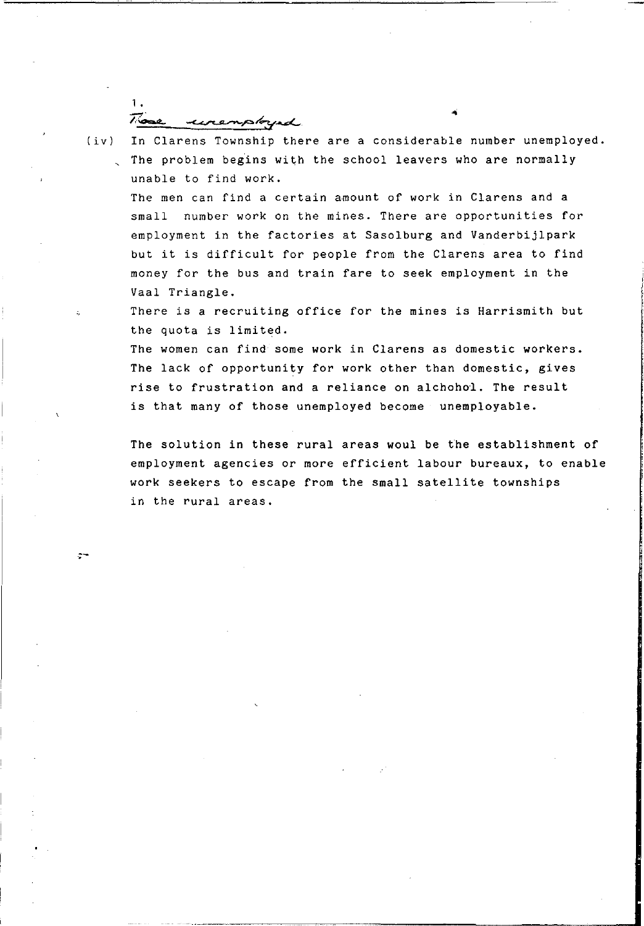1. These unemployed

 $\sim$ 

- (iv) In Clarens Township there are a considerable number unemployed.
	- , The problem begins with the school leavers who are normally unable to find work.

The men can find a certain amount of work in Clarens and a small number work on the mines. There are opportunities for employment in the factories at Sasolburg and Vanderbijlpark but it is difficult for people from the Clarens area to find money for the bus and train fare to seek employment in the Vaal Triangle.

There is a recruiting office for the mines is Harrismith but the quota is limited.

The women can find some work in Clarens as domestic workers. The lack of opportunity for work other than domestic, gives rise to frustration and a reliance on alchohol. The result is that many of those unemployed become unemployable.

The solution in these rural areas woul be the establishment of employment agencies or more efficient labour bureaux, to enable work seekers to escape from the small satellite townships in the rural areas.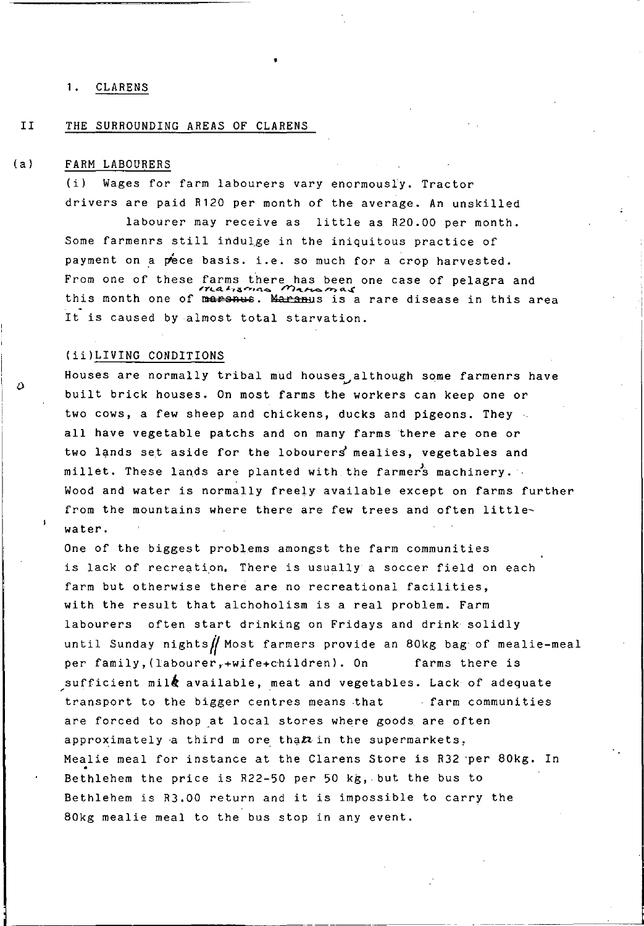#### II THE SURROUNDING AREAS OF CLARENS

#### (a) FARM LABOURERS

 $\Delta$ 

Wages for farm labourers vary enormously. Tractor drivers are paid R120 per month of the average. An unskilled

labourer may receive as little as R20.00 per month. Some farmenrs still indulge in the iniquitous practice of payment on a pece basis. i.e. so much for a crop harvested. From one of these farms there has been one case of pelagra and  $\frac{y}{1.44}$  $r_1$ ,  $r_2$ ,  $r_3$ ,  $r_4$ ,  $r_5$ ,  $r_6$ ,  $r_7$ ,  $r_8$ ,  $r_9$ ,  $r_1$ ,  $r_2$ ,  $r_3$ ,  $r_4$ , this area this area It is caused by almost total starvation.

#### (ii)LIVING CONDITIONS

Houses are normally tribal mud houses although some farmenrs have built brick houses. On most farms the workers can keep one or two cows, a few sheep and chickens, ducks and pigeons. They all have vegetable patchs and on many farms there are one or two lands set aside for the lobourers mealies, vegetables and millet. These lands are planted with the farmers machinery. Wood and water is normally freely available except on farms further from the mountains where there are few trees and often littlewater.

One of the biggest problems amongst the farm communities is lack of recreation. There is usually a soccer field on each farm but otherwise there are no recreational facilities, with the result that alchoholism is a real problem. Farm labourers often start drinking on Fridays and drink solidly until Sunday nights $\iiint$  Most farmers provide an 80kg bag of mealie-meal per family, (labourer, +wife+children). On farms there is sufficient mil $\dot{\mathbf{\hat{g}}}$  available, meat and vegetables. Lack of adequate transport to the bigger centres means that farm communities are forced to shop at local stores where goods are often approximately a third m ore tha $\boldsymbol{n}$  in the supermarkets. Mealie meal for instance at the Clarens Store is R32 'per 80kg. In Bethlehem the price is R22-50 per 50 kg, but the bus to Bethlehem is R3.00 return and it is impossible to carry the 80kg mealie meal to the bus stop in any event.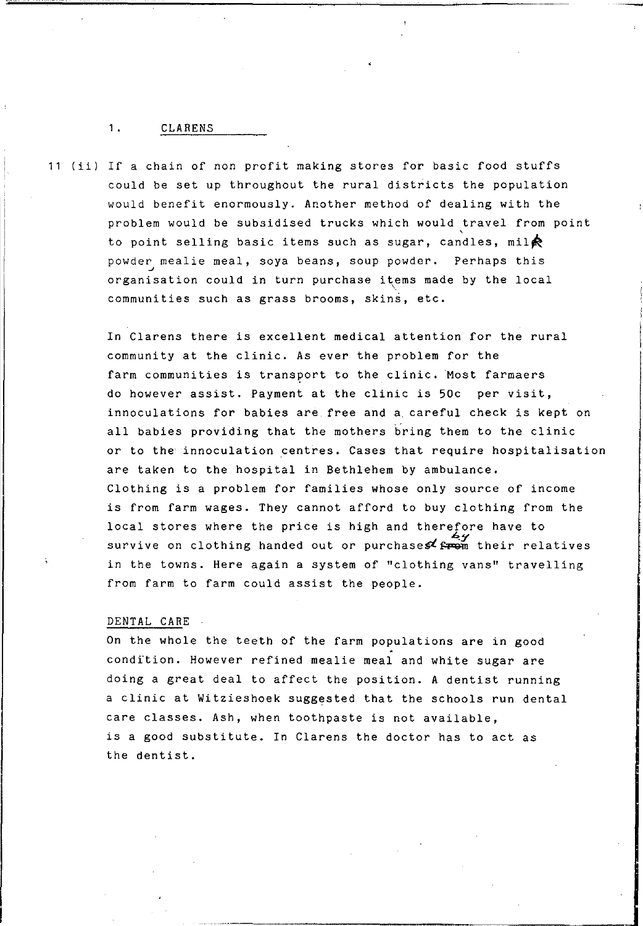11 (ii) If a chain of non profit making stores for basic food stuffs could be set up throughout the rural districts the population would benefit enormously. Another method of dealing with the problem would be subsidised trucks which would travel from point to point selling basic items such as sugar, candles, mil $\bigcirc$ powder mealie meal, soya beans, soup powder. Perhaps this organisation could in turn purchase items made by the local communities such as grass brooms, skins, etc.

> In Clarens there is excellent medical attention for the rural community at the clinic. As ever the problem for the farm communities is transport to the clinic. Most farmaers do however assist. Payment at the clinic is 50c per visit, innoculations for babies are free and a. careful check is kept on all babies providing that the mothers bring them to the clinic or to the innoculation centres. Cases that require hospitalisation are taken to the hospital in Bethlehem by ambulance. Clothing is a problem for families whose only source of income is from farm wages. They cannot afford to buy clothing from the local stores where the price is high and therefore have to survive on clothing handed out or purchases  $\mathcal{F}^{\mathcal{L}}_{r}$  their relatives in the towns. Here again a system of "clothing vans" travelling from farm to farm could assist the people.

#### DENTAL CARE .

On the whole the teeth of the farm populations are in good condition. However refined mealie meal and white sugar are doing a great deal to affect the position. A dentist running a clinic at Witzieshoek suggested that the schools run dental care classes. Ash, when toothpaste is not available, is a good substitute. In Clarens the doctor has to act as the dentist.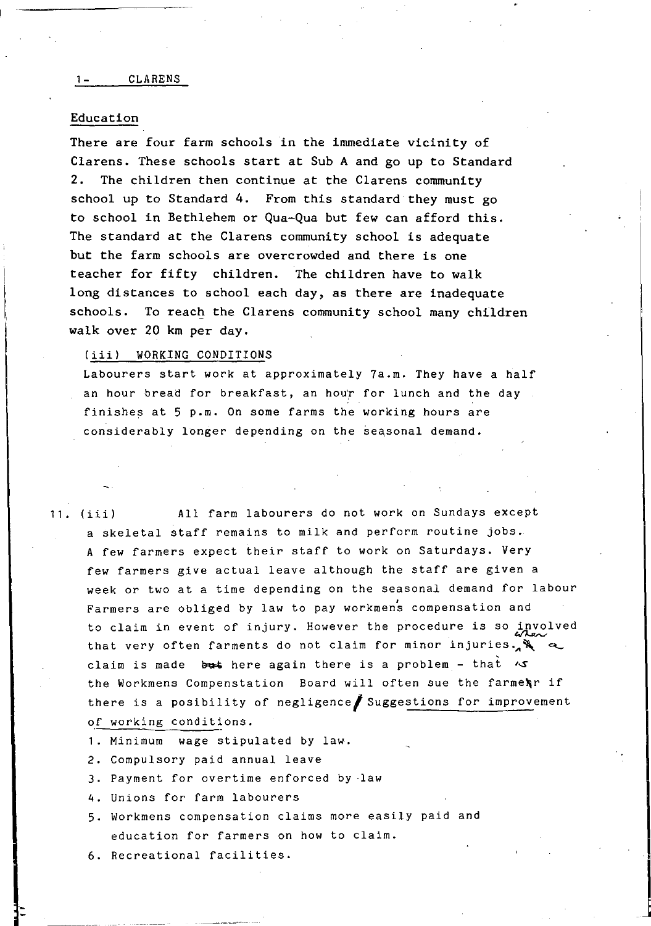#### Education

There are four farm schools in the immediate vicinity of Clarens. These schools start at Sub A and go up to Standard 2. The children then continue at the Clarens community school up to Standard 4. From this standard they must go to school in Bethlehem or Qua-Qua but few can afford this. The standard at the Clarens community school is adequate but the farm schools are overcrowded and there is one teacher for fifty children. The children have to walk long distances to school each day, as there are inadequate schools. To reach the Clarens community school many children walk over 20 km per day.

#### (iii) WORKING CONDITIONS

Labourers start work at approximately 7a.m. They have a half an hour bread for breakfast, an hour for lunch and the day finishes at 5 p.m. On some farms the working hours are considerably longer depending on the seasonal demand.

11. (iii) All farm labourers do not work on Sundays except a skeletal staff remains to milk and perform routine jobs. A few farmers expect their staff to work on Saturdays. Very few farmers give actual leave although the staff are given a week or two at a time depending on the seasonal demand for labour Farmers are obliged by law to pay workmens compensation and to claim in event of injury. However the procedure is so involved that very often farments do not claim for minor injuries. claim is made  $~$  but here again there is a problem - that  $~\sim$ the Workmens Compenstation Board will often sue the farmenr if there is a posibility of negligence suggestions for improvement of working conditions.

- 1. Minimum wage stipulated by law.
- 2. Compulsory paid annual leave
- 3. Payment for overtime enforced by law
- 4. Unions for farm labourers
- 5. Workmens compensation claims more easily paid and education for farmers on how to claim.
- 6. Recreational facilities.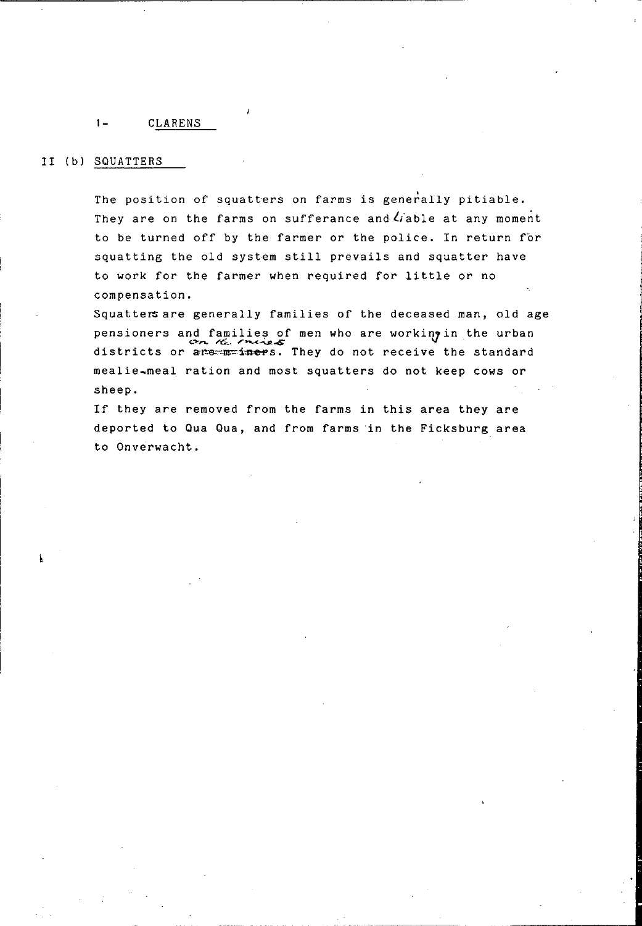#### **1-** CLARENS

## II (b) SQUATTERS

The position of squatters on farms is generally pitiable. They are on the farms on sufferance and  $U$  able at any moment to be turned off by the farmer or the police. In return for squatting the old system still prevails and squatter have to work for the farmer when required for little or no compensation.

Squatters are generally families of the deceased man, old age pensioners and families of men who are working in the urban districts or are mainless. They do not receive the standard mealie~meal ration and most squatters do not keep cows or sheep.

If they are removed from the farms in this area they are deported to Qua Qua, and from farms in the Ficksburg area to Onverwacht.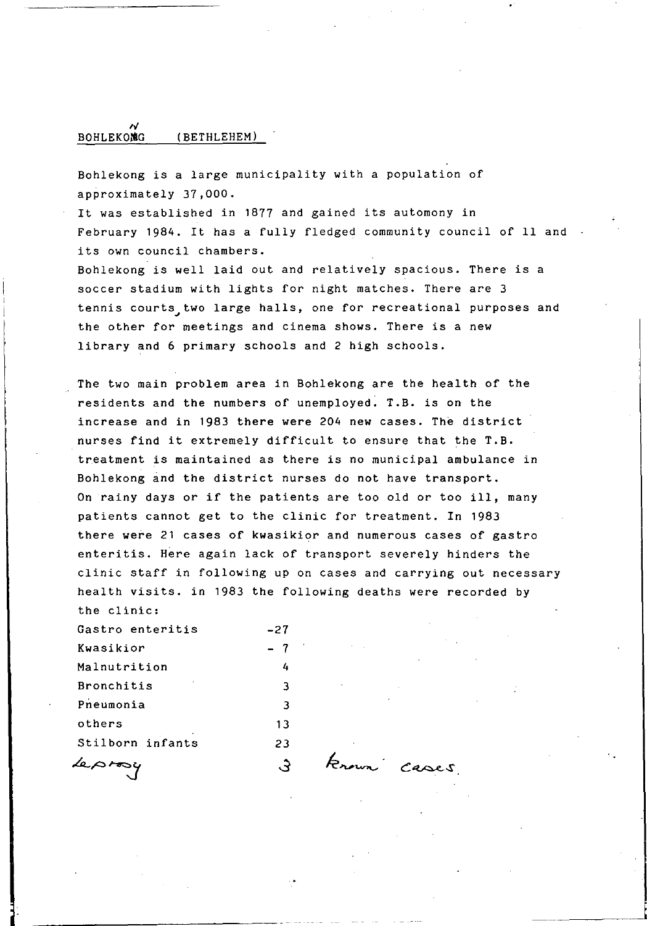#### **BOHLEKOMG** (BETHLEHEM)

Bohlekong is a large municipality with a population of approximately 37,000.

It was established in 1877 and gained its automony in February 1984. It has a fully fledged community council of 11 and its own council chambers.

Bohlekong is well laid out and relatively spacious. There is a soccer stadium with lights for night matches. There are 3 tennis courts two large halls, one for recreational purposes and the other for meetings and cinema shows. There is a new library and 6 primary schools and 2 high schools.

The two main problem area in Bohlekong are the health of the residents and the numbers of unemployed. T.B. is on the increase and in 1983 there were 204 new cases. The district nurses find it extremely difficult to ensure that the T.B. treatment is maintained as there is no municipal ambulance in Bohlekong and the district nurses do not have transport. On rainy days or if the patients are too old or too **ill,** many patients cannot get to the clinic for treatment. In <sup>1983</sup> there were 21 cases of kwasikior and numerous cases of gastro enteritis. Here again lack of transport severely hinders the clinic staff in following up on cases and carrying out necessary health visits. in 1983 the following deaths were recorded by the clinic:

| Gastro enteritis | -27 |
|------------------|-----|
| Kwasikior        | -7  |
| Malnutrition     | 4   |
| Bronchitis       | 3   |
| Pneumonia        | 3   |
| others           | 13  |
| Stilborn infants | 23  |
|                  |     |

known cases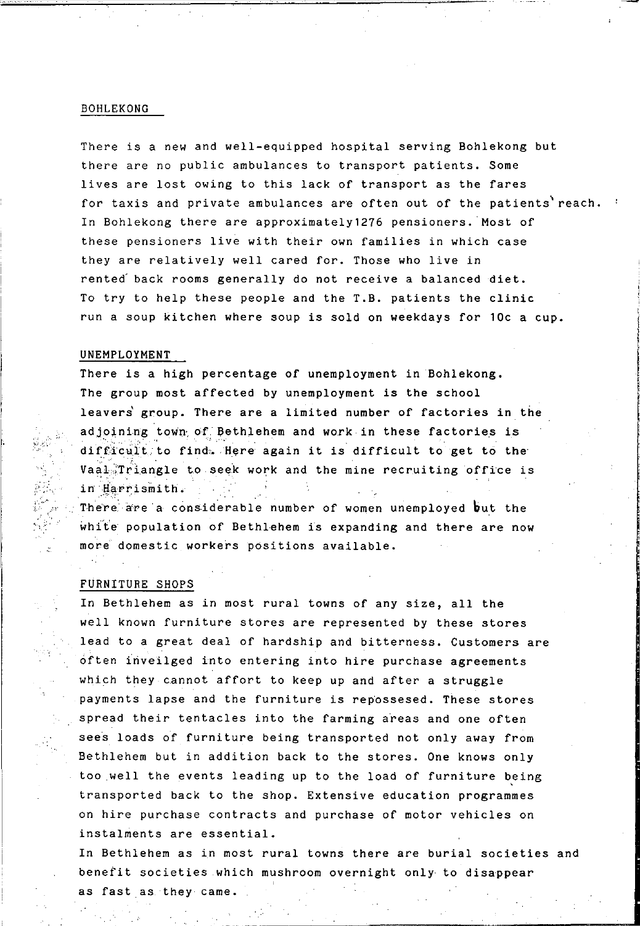#### BOHLEKONG

There is a new and well-equipped hospital serving Bohlekong but there are no public ambulances to transport patients. Some lives are lost owing to this lack of transport as the fares for taxis and private ambulances are often out of the patients'reach. In Bohlekong there are approximately1276 pensioners. Most of these pensioners live with their own families in which case they are relatively well cared for. Those who live in rented back rooms generally do not receive a balanced diet. To try to help these people and the T.B. patients the clinic run a soup kitchen where soup is sold on weekdays for 10c a cup.

#### UNEMPLOYMENT

There is a high percentage of unemployment in Bohlekong. The group most affected by unemployment is the school leavers group. There are a limited number of factories in the adjoining town of Bethlehem and work in these factories is difficult to find. Here again it is difficult to get to the Vaal Triangle to seek work and the mine recruiting office is in Harrismith.

There are a considerable number of women unemployed but the white population of Bethlehem is expanding and there are now more domestic workers positions available.

#### FURNITURE SHOPS

 $\leqslant z$  .

In Bethlehem as in most rural towns of any size, all the well known furniture stores are represented by these stores lead to a great deal of hardship and bitterness. Customers are often inveilged into entering into hire purchase agreements which they cannot affort to keep up and after a struggle payments lapse and the furniture is repossesed. These stores spread their tentacles into the farming areas and one often sees loads of furniture being transported not only away from Bethlehem but in addition back to the stores. One knows only too well the events leading up to the load of furniture being transported back to the shop. Extensive education programmes on hire purchase contracts and purchase of motor vehicles on instalments are essential.

In Bethlehem as in most rural towns there are burial societies and benefit societies which mushroom overnight only to disappear as fast as they came.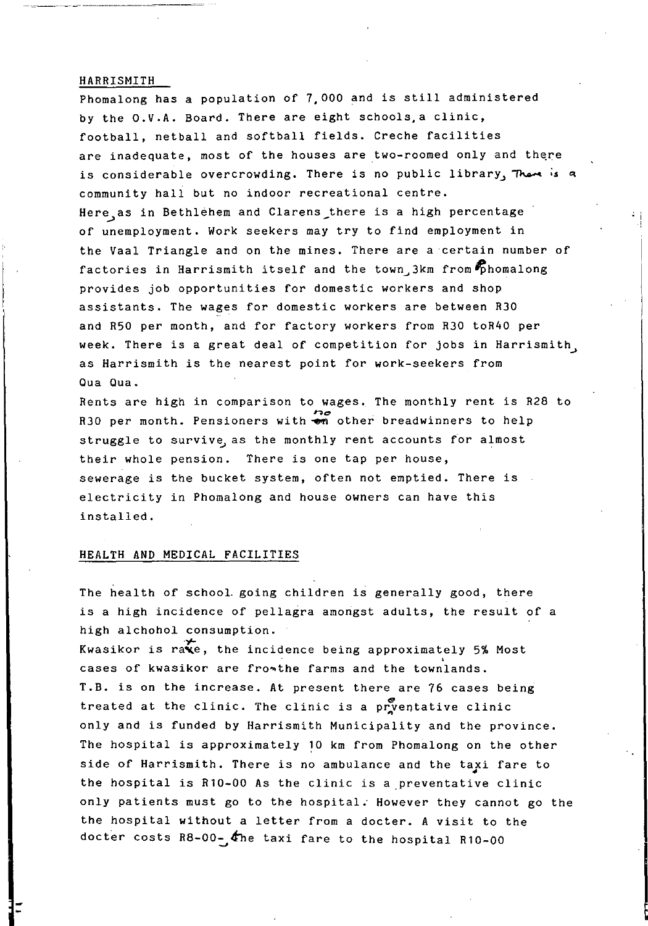#### HARRISMITH

Phomalong has a population of 7,000 and is still administered by the O.V.A. Board. There are eight schools,a clinic, football, netball and softball fields. Creche facilities are inadequate, most of the houses are two-roomed only and there is considerable overcrowding. There is no public library, There is a community hall but no indoor recreational centre. Here, as in Bethlehem and Clarens there is a high percentage of unemployment. Work seekers may try to find employment in the Vaal Triangle and on the mines. There are a certain number of factories in Harrismith itself and the town  $3km$  from  $\epsilon$  homalong provides job opportunities for domestic workers and shop assistants. The wages for domestic workers are between R30 and R50 per month, and for factory workers from R30 toR40 per week. There is a great deal of competition for jobs in Harrismith, as Harrismith is the nearest point for work-seekers from Qua Qua.

Rents are high in comparison to wages. The monthly rent is R28 to **R30** per month. Pensioners with  $\frac{1}{2}$  other breadwinners to help struggle to survive as the monthly rent accounts for almost their whole pension. There is one tap per house, sewerage is the bucket system, often not emptied. There is electricity in Phomalong and house owners can have this installed.

#### HEALTH AND MEDICAL FACILITIES

The health of schooL going children is generally good, there is a high incidence of pellagra amongst adults, the result of a high alchohol consumption.

Kwasikor is rave, the incidence being approximately 5% Most cases of kwasikor are fro~the farms and the townlands. T.B. is on the increase. At present there are 76 cases being treated at the clinic. The clinic is a pryentative clinic only and is funded by Harrismith Municipality and the province. The hospital is approximately 10 km from Phomalong on the other side of Harrismith. There is no ambulance and the taxi fare to 4 the hospital is Rl0-00 As the clinic is a preventative clinic only patients must go to the hospital. However they cannot go the the hospital without a letter from a docter. A visit to the docter costs R8-00- $\phi$  the taxi fare to the hospital R10-00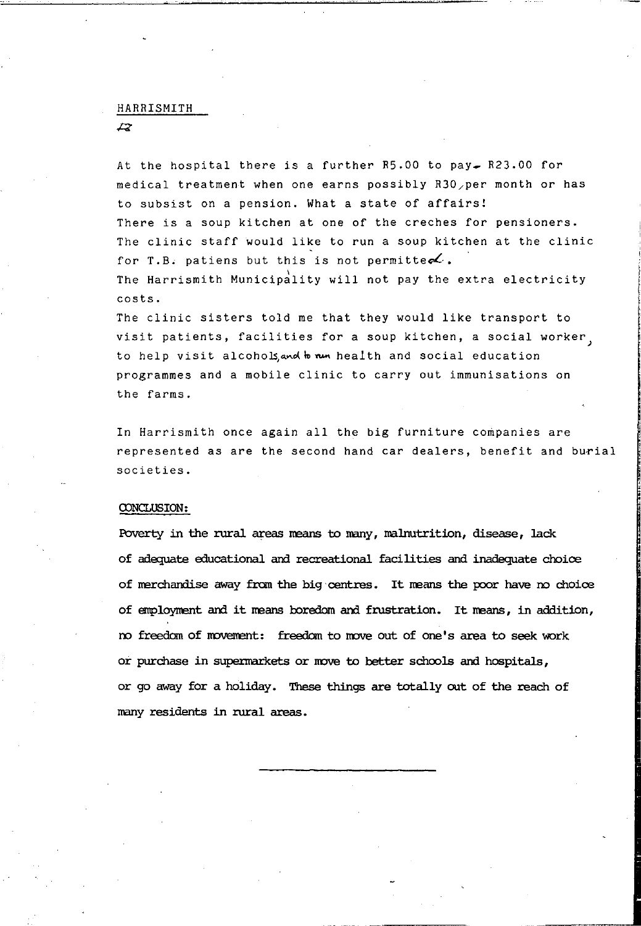#### HARRISMITH

 $\overline{z}$ 

At the hospital there is a further  $R5.00$  to pay  $R23.00$  for medical treatment when one earns possibly R30/per month or has to subsist on a pension. What a state of affairs! There is a soup kitchen at one of the creches for pensioners. The clinic staff would like to run a soup kitchen at the clinic for T.B. patiens but this is not permittes. The Harrismith Municipality will not pay the extra electricity costs. The clinic sisters told me that they would like transport to

visit patients, facilities for a soup kitchen, a social worker to help visit alcohols, and whe was health and social education programmes and a mobile clinic to carry out immunisations on the farms.

In Harrismith once again all the big furniture companies are represented as are the second hand car dealers, benefit and burial societies.

#### CONCLUSION :

Poverty in the rural areas means to many, malrutrition, disease, lack of adequate educational and recreational facilities and inadequate choioe of merchandise away from the big centres. It means the poor have no choice of employment and it means boredom and frustration. It means, in addition, no freedan of novenent: freedan to nove out of one's area to seek work or purchase in supennarkets or nove to better schools and hospitals, or go away for a holiday. These things are totally out of the reach of many residents in rural areas.